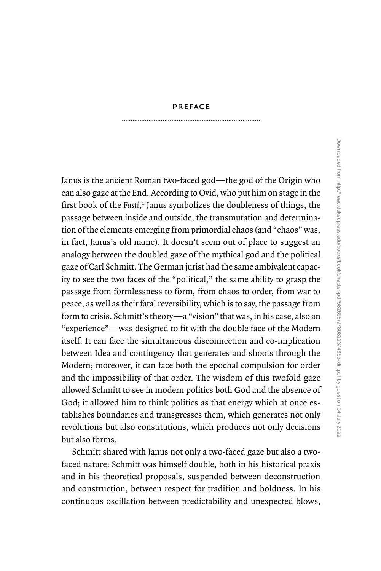## [preface](#page--1-0)

Janus is the ancient Roman two- faced god—the god of the Origin who can also gaze at the End. According to Ovid, who put him on stage in the first book of the *Fasti*, [1](#page--1-0) Janus symbolizes the doubleness of things, the passage between inside and outside, the transmutation and determination of the elements emerging from primordial chaos (and "chaos" was, in fact, Janus's old name). It doesn't seem out of place to suggest an analogy between the doubled gaze of the mythical god and the political gaze of Carl Schmitt. The German jurist had the same ambivalent capacity to see the two faces of the "political," the same ability to grasp the passage from formlessness to form, from chaos to order, from war to peace, as well as their fatal reversibility, which is to say, the passage from form to crisis. Schmitt's theory—a "vision" that was, in his case, also an "experience"—was designed to fit with the double face of the Modern itself. It can face the simultaneous disconnection and co-implication between Idea and contingency that generates and shoots through the Modern; moreover, it can face both the epochal compulsion for order and the impossibility of that order. The wisdom of this twofold gaze allowed Schmitt to see in modern politics both God and the absence of God; it allowed him to think politics as that energy which at once establishes boundaries and transgresses them, which generates not only revolutions but also constitutions, which produces not only decisions but also forms.

Schmitt shared with Janus not only a two-faced gaze but also a twofaced nature: Schmitt was himself double, both in his historical praxis and in his theoretical proposals, suspended between deconstruction and construction, between respect for tradition and boldness. In his continuous oscillation between predictability and unexpected blows,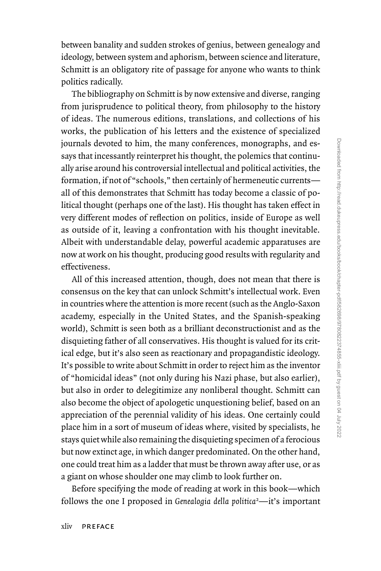between banality and sudden strokes of genius, between genealogy and ideology, between system and aphorism, between science and literature, Schmitt is an obligatory rite of passage for anyone who wants to think politics radically.

The bibliography on Schmitt is by now extensive and diverse, ranging from jurisprudence to political theory, from philosophy to the history of ideas. The numerous editions, translations, and collections of his works, the publication of his letters and the existence of specialized journals devoted to him, the many conferences, monographs, and essays that incessantly reinterpret his thought, the polemics that continually arise around his controversial intellectual and political activities, the formation, if not of "schools," then certainly of hermeneutic currents all of this demonstrates that Schmitt has today become a classic of political thought (perhaps one of the last). His thought has taken effect in very different modes of reflection on politics, inside of Europe as well as outside of it, leaving a confrontation with his thought inevitable. Albeit with understandable delay, powerful academic apparatuses are now at work on his thought, producing good results with regularity and effectiveness.

All of this increased attention, though, does not mean that there is consensus on the key that can unlock Schmitt's intellectual work. Even in countries where the attention is more recent (such as the Anglo- Saxon academy, especially in the United States, and the Spanish-speaking world), Schmitt is seen both as a brilliant deconstructionist and as the disquieting father of all conservatives. His thought is valued for its critical edge, but it's also seen as reactionary and propagandistic ideology. It's possible to write about Schmitt in order to reject him as the inventor of "homicidal ideas" (not only during his Nazi phase, but also earlier), but also in order to delegitimize any nonliberal thought. Schmitt can also become the object of apologetic unquestioning belief, based on an appreciation of the perennial validity of his ideas. One certainly could place him in a sort of museum of ideas where, visited by specialists, he stays quiet while also remaining the disquieting specimen of a ferocious but now extinct age, in which danger predominated. On the other hand, one could treat him as a ladder that must be thrown away after use, or as a giant on whose shoulder one may climb to look further on.

Before specifying the mode of reading at work in this book—which follows the one I proposed in *Genealogia della politica*[2](#page--1-0) —it's important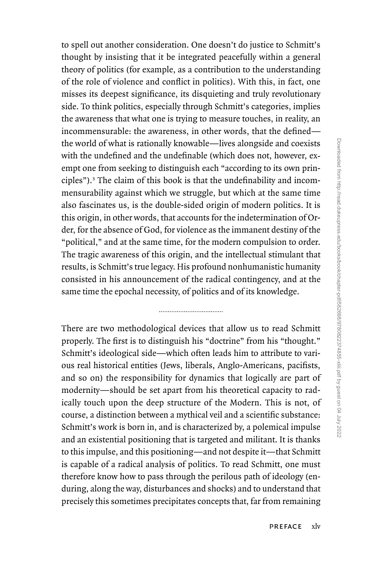to spell out another consideration. One doesn't do justice to Schmitt's thought by insisting that it be integrated peacefully within a general theory of politics (for example, as a contribution to the understanding of the role of violence and conflict in politics). With this, in fact, one misses its deepest significance, its disquieting and truly revolutionary side. To think politics, especially through Schmitt's categories, implies the awareness that what one is trying to measure touches, in reality, an incommensurable: the awareness, in other words, that the defined the world of what is rationally knowable—lives alongside and coexists with the undefined and the undefinable (which does not, however, exempt one from seeking to distinguish each "according to its own principles").[3](#page--1-0) The claim of this book is that the undefinability and incommensurability against which we struggle, but which at the same time also fascinates us, is the double- sided origin of modern politics. It is this origin, in other words, that accounts for the indetermination of Order, for the absence of God, for violence as the immanent destiny of the "political," and at the same time, for the modern compulsion to order. The tragic awareness of this origin, and the intellectual stimulant that results, is Schmitt's true legacy. His profound nonhumanistic humanity consisted in his announcement of the radical contingency, and at the same time the epochal necessity, of politics and of its knowledge.

There are two methodological devices that allow us to read Schmitt properly. The first is to distinguish his "doctrine" from his "thought." Schmitt's ideological side—which often leads him to attribute to various real historical entities (Jews, liberals, Anglo- Americans, pacifists, and so on) the responsibility for dynamics that logically are part of modernity—should be set apart from his theoretical capacity to radically touch upon the deep structure of the Modern. This is not, of course, a distinction between a mythical veil and a scientific substance: Schmitt's work is born in, and is characterized by, a polemical impulse and an existential positioning that is targeted and militant. It is thanks to this impulse, and this positioning—and not despite it—that Schmitt is capable of a radical analysis of politics. To read Schmitt, one must therefore know how to pass through the perilous path of ideology (enduring, along the way, disturbances and shocks) and to understand that precisely this sometimes precipitates concepts that, far from remaining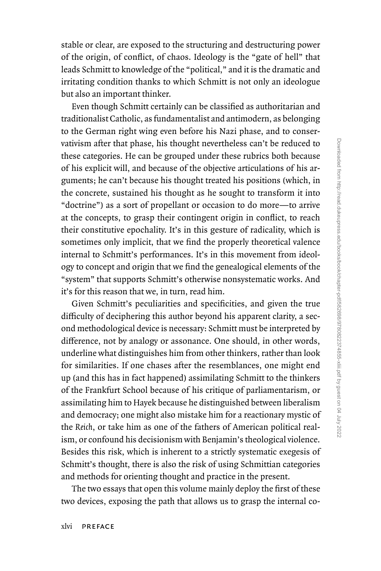stable or clear, are exposed to the structuring and destructuring power of the origin, of conflict, of chaos. Ideology is the "gate of hell" that leads Schmitt to knowledge of the "political," and it is the dramatic and irritating condition thanks to which Schmitt is not only an ideologue but also an important thinker.

Even though Schmitt certainly can be classified as authoritarian and traditionalist Catholic, as fundamentalist and antimodern, as belonging to the German right wing even before his Nazi phase, and to conservativism after that phase, his thought nevertheless can't be reduced to these categories. He can be grouped under these rubrics both because of his explicit will, and because of the objective articulations of his arguments; he can't because his thought treated his positions (which, in the concrete, sustained his thought as he sought to transform it into "doctrine") as a sort of propellant or occasion to do more—to arrive at the concepts, to grasp their contingent origin in conflict, to reach their constitutive epochality. It's in this gesture of radicality, which is sometimes only implicit, that we find the properly theoretical valence internal to Schmitt's performances. It's in this movement from ideology to concept and origin that we find the genealogical elements of the "system" that supports Schmitt's otherwise nonsystematic works. And it's for this reason that we, in turn, read him.

Given Schmitt's peculiarities and specificities, and given the true difficulty of deciphering this author beyond his apparent clarity, a second methodological device is necessary: Schmitt must be interpreted by difference, not by analogy or assonance. One should, in other words, underline what distinguishes him from other thinkers, rather than look for similarities. If one chases after the resemblances, one might end up (and this has in fact happened) assimilating Schmitt to the thinkers of the Frankfurt School because of his critique of parliamentarism, or assimilating him to Hayek because he distinguished between liberalism and democracy; one might also mistake him for a reactionary mystic of the *Reich*, or take him as one of the fathers of American political realism, or confound his decisionism with Benjamin's theological violence. Besides this risk, which is inherent to a strictly systematic exegesis of Schmitt's thought, there is also the risk of using Schmittian categories and methods for orienting thought and practice in the present.

The two essays that open this volume mainly deploy the first of these two devices, exposing the path that allows us to grasp the internal co-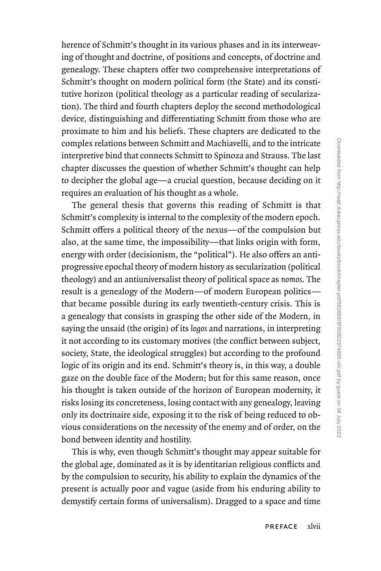herence of Schmitt's thought in its various phases and in its interweaving of thought and doctrine, of positions and concepts, of doctrine and genealogy. These chapters offer two comprehensive interpretations of Schmitt's thought on modern political form (the State) and its constitutive horizon (political theology as a particular reading of secularization). The third and fourth chapters deploy the second methodological device, distinguishing and differentiating Schmitt from those who are proximate to him and his beliefs. These chapters are dedicated to the complex relations between Schmitt and Machiavelli, and to the intricate interpretive bind that connects Schmitt to Spinoza and Strauss. The last chapter discusses the question of whether Schmitt's thought can help to decipher the global age—a crucial question, because deciding on it requires an evaluation of his thought as a whole.

The general thesis that governs this reading of Schmitt is that Schmitt's complexity is internal to the complexity of the modern epoch. Schmitt offers a political theory of the nexus—of the compulsion but also, at the same time, the impossibility—that links origin with form, energy with order (decisionism, the "political"). He also offers an antiprogressive epochal theory of modern history as secularization (political theology) and an antiuniversalist theory of political space as *nomos*. The result is a genealogy of the Modern—of modern European politics that became possible during its early twentieth- century crisis. This is a genealogy that consists in grasping the other side of the Modern, in saying the unsaid (the origin) of its *logos* and narrations, in interpreting it not according to its customary motives (the conflict between subject, society, State, the ideological struggles) but according to the profound logic of its origin and its end. Schmitt's theory is, in this way, a double gaze on the double face of the Modern; but for this same reason, once his thought is taken outside of the horizon of European modernity, it risks losing its concreteness, losing contact with any genealogy, leaving only its doctrinaire side, exposing it to the risk of being reduced to obvious considerations on the necessity of the enemy and of order, on the bond between identity and hostility.

This is why, even though Schmitt's thought may appear suitable for the global age, dominated as it is by identitarian religious conflicts and by the compulsion to security, his ability to explain the dynamics of the present is actually poor and vague (aside from his enduring ability to demystify certain forms of universalism). Dragged to a space and time